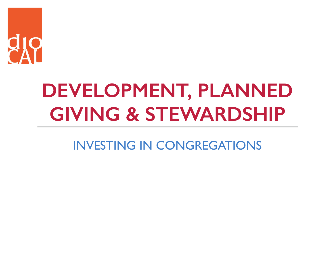

## **DEVELOPMENT, PLANNED GIVING & STEWARDSHIP**

INVESTING IN CONGREGATIONS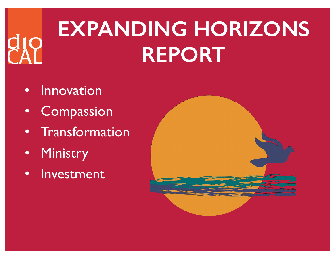## **EXPANDING HORIZONS REPORT**

- Innovation
- Compassion
- Transformation
- Ministry
- Investment

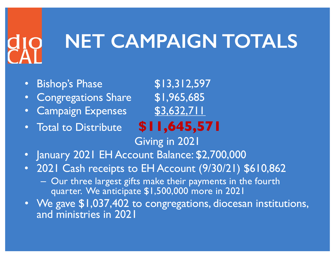### **NET CAMPAIGN TOTALS**

- Bishop's Phase \$13,312,597
- Congregations Share \$1,965,685
- Campaign Expenses \$3,632,711
- Total to Distribute **\$11,645,571**

- Giving in 2021
- January 2021 EH Account Balance: \$2,700,000
- 2021 Cash receipts to EH Account (9/30/21) \$610,862
	- Our three largest gifts make their payments in the fourth quarter. We anticipate \$1,500,000 more in 2021
- We gave \$1,037,402 to congregations, diocesan institutions, and ministries in 2021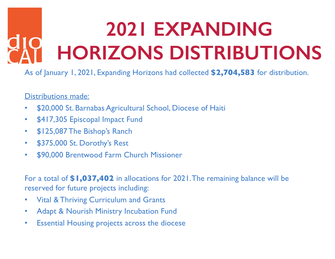## **2021 EXPANDING HORIZONS DISTRIBUTIONS**

As of January 1, 2021, Expanding Horizons had collected **\$2,704,583** for distribution.

### Distributions made:

- \$20,000 St. Barnabas Agricultural School, Diocese of Haiti
- \$417,305 Episcopal Impact Fund
- \$125,087 The Bishop's Ranch
- \$375,000 St. Dorothy's Rest
- \$90,000 Brentwood Farm Church Missioner

For a total of **\$1,037,402** in allocations for 2021. The remaining balance will be reserved for future projects including:

- Vital & Thriving Curriculum and Grants
- Adapt & Nourish Ministry Incubation Fund
- Essential Housing projects across the diocese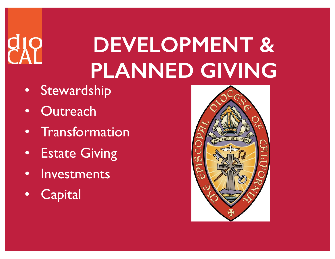## **DEVELOPMENT & PLANNED GIVING**

- Stewardship
- Outreach
- Transformation
- Estate Giving
- Investments
- Capital

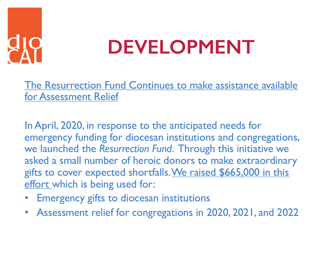## **DEVELOPMENT**

The Resurrection Fund Continues to make assistance available for Assessment Relief

In April, 2020, in response to the anticipated needs for emergency funding for diocesan institutions and congregations, we launched the *Resurrection Fund*. Through this initiative we asked a small number of heroic donors to make extraordinary gifts to cover expected shortfalls. We raised \$665,000 in this effort which is being used for:

- Emergency gifts to diocesan institutions
- Assessment relief for congregations in 2020, 2021, and 2022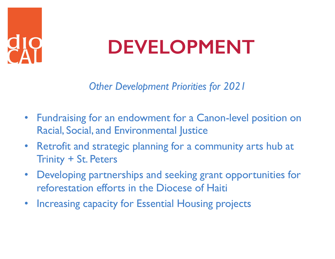### **DEVELOPMENT**

*Other Development Priorities for 2021*

- Fundraising for an endowment for a Canon-level position on Racial, Social, and Environmental Justice
- Retrofit and strategic planning for a community arts hub at Trinity + St. Peters
- Developing partnerships and seeking grant opportunities for reforestation efforts in the Diocese of Haiti
- Increasing capacity for Essential Housing projects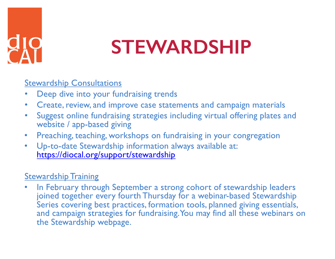

### **STEWARDSHIP**

### **Stewardship Consultations**

- Deep dive into your fundraising trends
- Create, review, and improve case statements and campaign materials
- Suggest online fundraising strategies including virtual offering plates and website / app-based giving
- Preaching, teaching, workshops on fundraising in your congregation
- Up-to-date Stewardship information always available at: [https://diocal.org/support/stewardshi](https://diocal.org/support/stewardship)p

### **Stewardship Training**

In February through September a strong cohort of stewardship leaders joined together every fourth Thursday for a webinar-based Stewardship Series covering best practices, formation tools, planned giving essentials, and campaign strategies for fundraising. You may find all these webinars on the Stewardship webpage.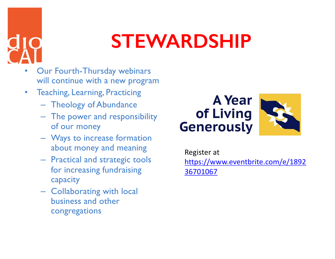

### **STEWARDSHIP**

- Our Fourth-Thursday webinars will continue with a new program
- Teaching, Learning, Practicing
	- Theology of Abundance
	- The power and responsibility of our money
	- Ways to increase formation about money and meaning
	- Practical and strategic tools for increasing fundraising capacity
	- Collaborating with local business and other congregations

### **A** Year of Living **Generously**



Register at [https://www.eventbrite.com/e/189](https://www.eventbrite.com/e/189236701067)2 36701067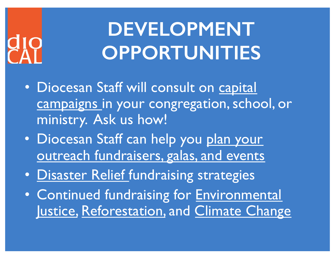## **DEVELOPMENT OPPORTUNITIES**

- Diocesan Staff will consult on capital campaigns in your congregation, school, or ministry. Ask us how!
- Diocesan Staff can help you plan your outreach fundraisers, galas, and events
- Disaster Relief fundraising strategies
- Continued fundraising for Environmental Justice, Reforestation, and Climate Change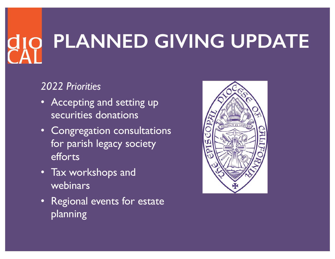# **PLANNED GIVING UPDATE**

### *2022 Priorities*

- Accepting and setting up securities donations
- Congregation consultations for parish legacy society efforts
- Tax workshops and webinars
- Regional events for estate planning

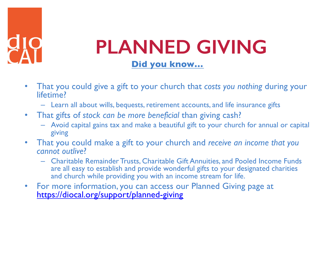

### **PLANNED GIVING Did you know…**

- That you could give a gift to your church that *costs you nothing* during your lifetime?
	- Learn all about wills, bequests, retirement accounts, and life insurance gifts
- That gifts of *stock can be more beneficial* than giving cash?
	- Avoid capital gains tax and make a beautiful gift to your church for annual or capital giving
- That you could make a gift to your church and *receive an income that you cannot outlive*?
	- Charitable Remainder Trusts, Charitable Gift Annuities, and Pooled Income Funds are all easy to establish and provide wonderful gifts to your designated charities and church while providing you with an income stream for life.
- For more information, you can access our Planned Giving page at [https://diocal.org/support/planned-givin](https://diocal.org/support/planned-giving)g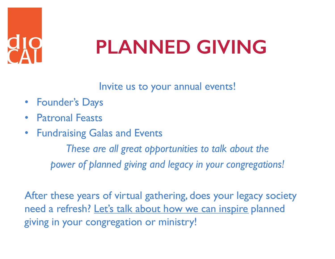

## **PLANNED GIVING**

Invite us to your annual events!

- Founder's Days
- Patronal Feasts
- Fundraising Galas and Events

*These are all great opportunities to talk about the power of planned giving and legacy in your congregations!*

After these years of virtual gathering, does your legacy society need a refresh? Let's talk about how we can inspire planned giving in your congregation or ministry!